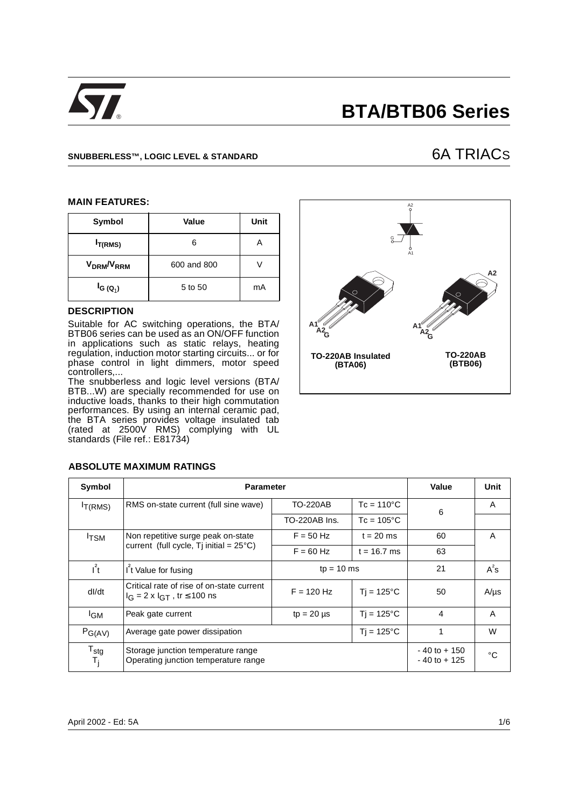

# **BTA/BTB06 Series**

# SNUBBERLESS™, LOGIC LEVEL & STANDARD **6A TRIACS**

#### **MAIN FEATURES:**

| Symbol                             | Value       | <b>Unit</b> |
|------------------------------------|-------------|-------------|
| $I_{T(RMS)}$                       | 6           |             |
| V <sub>DRM</sub> /V <sub>RRM</sub> | 600 and 800 |             |
| $I_{G(Q_1)}$                       | 5 to 50     | mA          |

# **DESCRIPTION**

Suitable for AC switching operations, the BTA/ BTB06 series can be used as an ON/OFF function in applications such as static relays, heating regulation, induction motor starting circuits... or for phase control in light dimmers, motor speed controllers,...

The snubberless and logic level versions (BTA/ BTB...W) are specially recommended for use on inductive loads, thanks to their high commutation performances. By using an internal ceramic pad, the BTA series provides voltage insulated tab (rated at 2500V RMS) complying with UL standards (File ref.: E81734)



| Symbol                             | <b>Parameter</b>                                                                        | Value                                  | Unit                |                                    |           |
|------------------------------------|-----------------------------------------------------------------------------------------|----------------------------------------|---------------------|------------------------------------|-----------|
| I <sub>T</sub> (RMS)               | RMS on-state current (full sine wave)                                                   | $Tc = 110^{\circ}C$<br>TO-220AB        |                     | 6                                  | A         |
|                                    |                                                                                         | TO-220AB Ins.                          | $Tc = 105^{\circ}C$ |                                    |           |
| <sup>I</sup> TSM                   | Non repetitive surge peak on-state                                                      | $F = 50$ Hz                            | $t = 20$ ms         | 60                                 | A         |
|                                    | current (full cycle, $Ti$ initial = $25^{\circ}$ C)                                     |                                        | $t = 16.7$ ms       | 63                                 |           |
| $l^2t$                             | I <sup>f</sup> t Value for fusing                                                       | $tp = 10$ ms                           | 21                  | $A^2s$                             |           |
| dl/dt                              | Critical rate of rise of on-state current<br>$I_G = 2 \times I_{GT}$ , tr $\leq 100$ ns | $F = 120$ Hz                           | $Ti = 125^{\circ}C$ | 50                                 | $A/\mu s$ |
| <sup>I</sup> GM                    | Peak gate current                                                                       | $Ti = 125^{\circ}C$<br>$tp = 20 \mu s$ |                     | 4                                  | A         |
| $P_{G(AV)}$                        | $Tj = 125^{\circ}C$<br>Average gate power dissipation                                   |                                        | $\mathbf 1$         | W                                  |           |
| $T_{\text{stg}}$<br>T <sub>i</sub> | Storage junction temperature range<br>Operating junction temperature range              |                                        |                     | $-40$ to $+150$<br>$-40$ to $+125$ | °C        |

### **ABSOLUTE MAXIMUM RATINGS**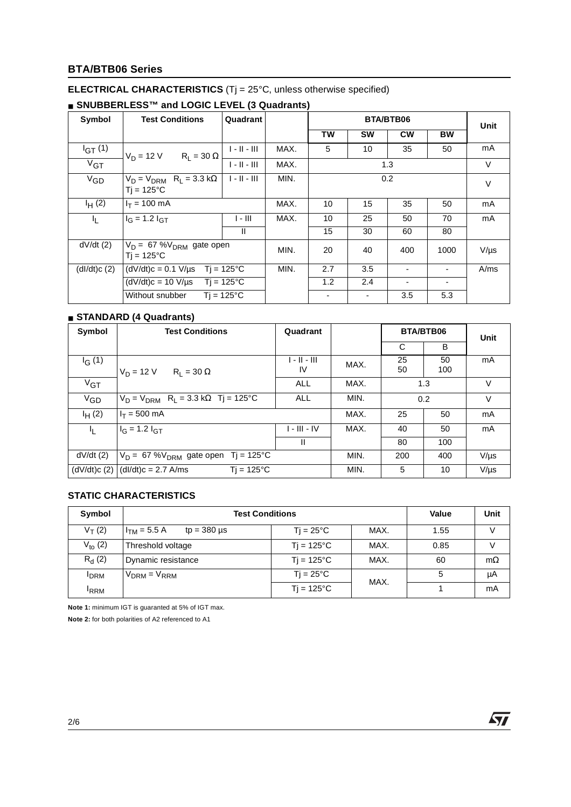# **BTA/BTB06 Series**

# **ELECTRICAL CHARACTERISTICS** (Tj = 25°C, unless otherwise specified)

| Symbol      | <b>Test Conditions</b>                                         | Quadrant            |      | <b>BTA/BTB06</b> |                 |           | <b>Unit</b> |           |
|-------------|----------------------------------------------------------------|---------------------|------|------------------|-----------------|-----------|-------------|-----------|
|             |                                                                |                     |      | TW               | <b>SW</b>       | <b>CW</b> | <b>BW</b>   |           |
| $I_{GT}(1)$ | $R_1 = 30 \Omega$<br>$V_D = 12 V$                              | $1 - 11 - 111$      | MAX. | 5                | 10 <sup>°</sup> | 35        | 50          | mA        |
| $V_{GT}$    |                                                                | $1 - 11 - 111$      | MAX. |                  |                 | 1.3       |             | $\vee$    |
| $V_{GD}$    | $V_D = V_{DRM}$ R <sub>L</sub> = 3.3 kΩ<br>$Ti = 125^{\circ}C$ | $1 - 11 - 111$      | MIN. | 0.2              |                 |           | $\vee$      |           |
| $I_H(2)$    | $I_T = 100$ mA                                                 |                     | MAX. | 10               | 15              | 35        | 50          | mA        |
| ΙĻ.         | $I_G = 1.2 I_{GT}$                                             | l - III             | MAX. | 10               | 25              | 50        | 70          | mA        |
|             |                                                                | Ш                   |      | 15               | 30              | 60        | 80          |           |
| dV/dt(2)    | $V_D = 67 %V_{DRM}$ gate open<br>$Ti = 125^{\circ}C$           |                     | MIN. | 20               | 40              | 400       | 1000        | $V/\mu s$ |
| (dI/dt)c(2) | $(dV/dt)c = 0.1 V/\mu s$                                       | $Tj = 125^{\circ}C$ | MIN. | 2.7              | 3.5             | ٠         |             | A/ms      |
|             | $(dV/dt)c = 10 V/\mu s$ Tj = 125°C                             |                     |      | 1.2              | 2.4             | ۰         |             |           |
|             | Without snubber                                                | $Ti = 125^{\circ}C$ |      |                  |                 | 3.5       | 5.3         |           |

# ■ **SNUBBERLESS<sup>™</sup> and LOGIC LEVEL (3 Quadrants)**

# ■ **STANDARD (4 Quadrants)**

| Symbol   | <b>Test Conditions</b>                                     | Quadrant           |      | <b>BTA/BTB06</b> |           | Unit      |
|----------|------------------------------------------------------------|--------------------|------|------------------|-----------|-----------|
|          |                                                            |                    |      | C                | B         |           |
| $I_G(1)$ | $V_D = 12 V$<br>$R_1 = 30 \Omega$                          | 1 - 11 - 111<br>IV | MAX. | 25<br>50         | 50<br>100 | mA        |
| $V_{GT}$ |                                                            | <b>ALL</b>         | MAX. |                  | 1.3       | V         |
| $V_{GD}$ | $V_D = V_{DRM}$ R <sub>L</sub> = 3.3 kΩ Tj = 125°C         | ALL                | MIN. |                  | 0.2       | $\vee$    |
| $I_H(2)$ | $I_T = 500$ mA                                             |                    | MAX. | 25               | 50        | mA        |
| 4.       | $I_G = 1.2 I_{GT}$                                         | $I - III - IV$     | MAX. | 40               | 50        | mA        |
|          |                                                            | H.                 |      | 80               | 100       |           |
| dV/dt(2) | $V_D = 67 %V_{DRM}$ gate open Tj = 125°C                   |                    | MIN. | 200              | 400       | $V/\mu s$ |
|          | $(dV/dt)c(2)$ $(dI/dt)c = 2.7$ A/ms<br>$Ti = 125^{\circ}C$ |                    | MIN. | 5                | 10        | $V/\mu s$ |

# **STATIC CHARACTERISTICS**

| Symbol       | <b>Test Conditions</b>               | Value               | Unit |      |           |
|--------------|--------------------------------------|---------------------|------|------|-----------|
| $V_T(2)$     | $H_{TM}$ = 5.5 A<br>$tp = 380 \mu s$ | $Ti = 25^{\circ}C$  | MAX. | 1.55 | v         |
| $V_{to} (2)$ | Threshold voltage                    | $Ti = 125^{\circ}C$ | MAX. | 0.85 | v         |
| $R_{d}$ (2)  | Dynamic resistance                   | $Ti = 125^{\circ}C$ | MAX. | 60   | $m\Omega$ |
| <b>DRM</b>   | $V_{DRM} = V_{RRM}$                  | $Ti = 25^{\circ}C$  | MAX. | 5    | μA        |
| <b>RRM</b>   |                                      | $Tj = 125^{\circ}C$ |      |      | mA        |

**Note 1:** minimum IGT is guaranted at 5% of IGT max.

**Note 2:** for both polarities of A2 referenced to A1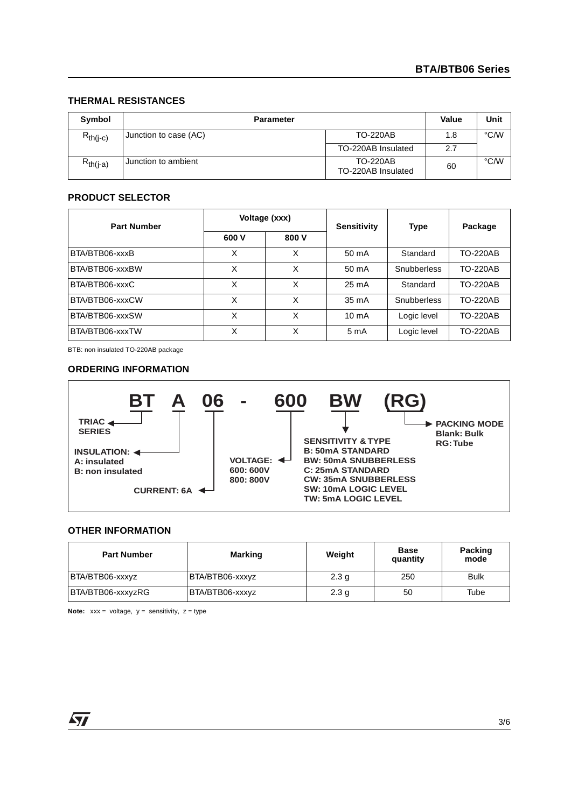# **THERMAL RESISTANCES**

| Symbol        | <b>Parameter</b>      |                                       | <b>Value</b> | Unit |
|---------------|-----------------------|---------------------------------------|--------------|------|
| $R_{th(i-c)}$ | Junction to case (AC) | <b>TO-220AB</b>                       | 1.8          | °C/W |
|               |                       | TO-220AB Insulated                    | 2.7          |      |
| $R_{th(i-a)}$ | Junction to ambient   | <b>TO-220AB</b><br>TO-220AB Insulated | 60           | °C/W |

# **PRODUCT SELECTOR**

| <b>Part Number</b> | Voltage (xxx) |       | <b>Sensitivity</b> | <b>Type</b> | Package         |
|--------------------|---------------|-------|--------------------|-------------|-----------------|
|                    | 600 V         | 800 V |                    |             |                 |
| BTA/BTB06-xxxB     | X             | X     | 50 mA              | Standard    | <b>TO-220AB</b> |
| BTA/BTB06-xxxBW    | x             | X     | 50 mA              | Snubberless | <b>TO-220AB</b> |
| BTA/BTB06-xxxC     | X             | X     | $25 \text{ mA}$    | Standard    | <b>TO-220AB</b> |
| BTA/BTB06-xxxCW    | X             | X     | $35 \text{ mA}$    | Snubberless | <b>TO-220AB</b> |
| BTA/BTB06-xxxSW    | X             | X     | $10 \text{ mA}$    | Logic level | <b>TO-220AB</b> |
| BTA/BTB06-xxxTW    | x             | X     | 5 m A              | Logic level | <b>TO-220AB</b> |

BTB: non insulated TO-220AB package

#### **ORDERING INFORMATION**



## **OTHER INFORMATION**

| <b>Part Number</b> | <b>Marking</b>  | Weight           | <b>Base</b><br>quantity | Packing<br>mode |
|--------------------|-----------------|------------------|-------------------------|-----------------|
| BTA/BTB06-xxxyz    | BTA/BTB06-xxxyz | 2.3 <sub>q</sub> | 250                     | <b>Bulk</b>     |
| BTA/BTB06-xxxyzRG  | BTA/BTB06-xxxyz | 2.3 <sub>g</sub> | 50                      | Tube            |

**Note:**  $xxx = voltage, y = sensitivity, z = type$ 

57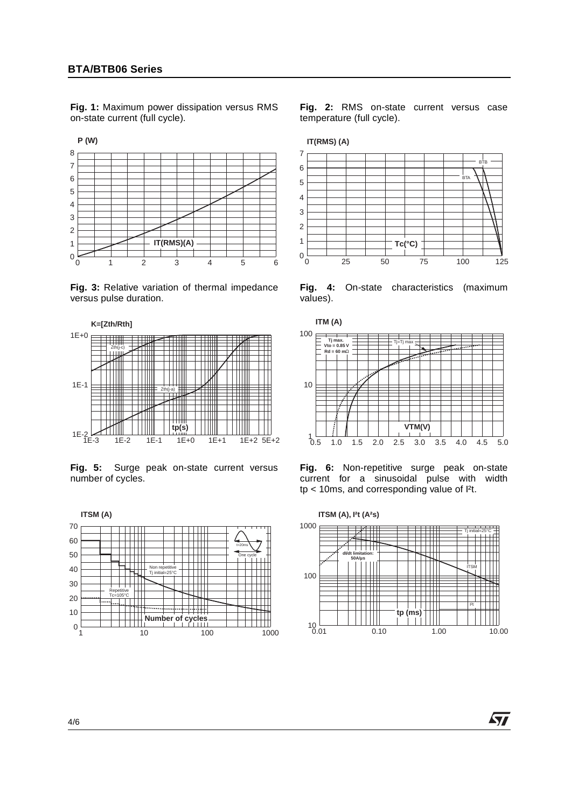**Fig. 1:** Maximum power dissipation versus RMS on-state current (full cycle).



**Fig. 3:** Relative variation of thermal impedance versus pulse duration.



**Fig. 5:** Surge peak on-state current versus number of cycles.



**Fig. 2:** RMS on-state current versus case temperature (full cycle).



**Fig. 4:** On-state characteristics (maximum values).



**Fig. 6:** Non-repetitive surge peak on-state current for a sinusoidal pulse with width tp < 10ms, and corresponding value of I²t.



57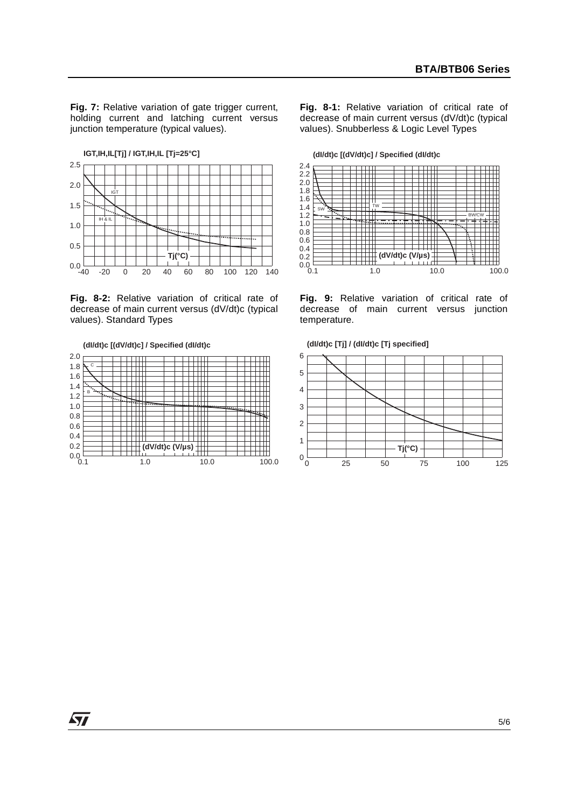**Fig. 7:** Relative variation of gate trigger current, holding current and latching current versus junction temperature (typical values).

-40 -20 0 20 40 60 80 100 120 140  $0.0 - 40$ 0.5 1.0 1.5 2.0 2.5 **IGT,IH,IL[Tj] / IGT,IH,IL [Tj=25°C]** IGT  $\mathbf{H}$ **Tj(°C)**

**Fig. 8-2:** Relative variation of critical rate of decrease of main current versus (dV/dt)c (typical values). Standard Types

**(dI/dt)c [(dV/dt)c] / Specified (dI/dt)c**

 $\overline{\mathbf{S}}$ 



**Fig. 8-1:** Relative variation of critical rate of decrease of main current versus (dV/dt)c (typical values). Snubberless & Logic Level Types



**Fig. 9:** Relative variation of critical rate of decrease of main current versus junction temperature.





5/6